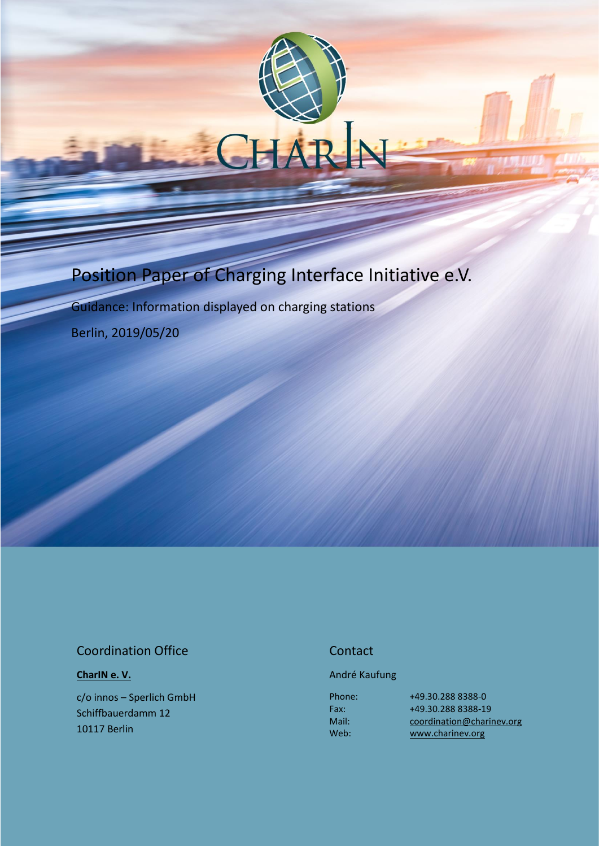# Position Paper of Charging Interface Initiative e.V.

Guidance: Information displayed on charging stations

Berlin, 2019/05/20

## Coordination Office

#### **[CharIN e. V.](http://charinev.org/news/)**

c/o innos – Sperlich GmbH Schiffbauerdamm 12 10117 Berlin

### **Contact**

#### André Kaufung

Phone: Fax: Mail: Web:

[+49.30.288](tel:+49%2030%20288) 8388-0 [+49.30.288](tel:+49%2030%20288) 8388-19 [coordination@charinev.org](mailto:andre.kaufung@charinev.org) [www.charinev.org](http://www.charinev.org/)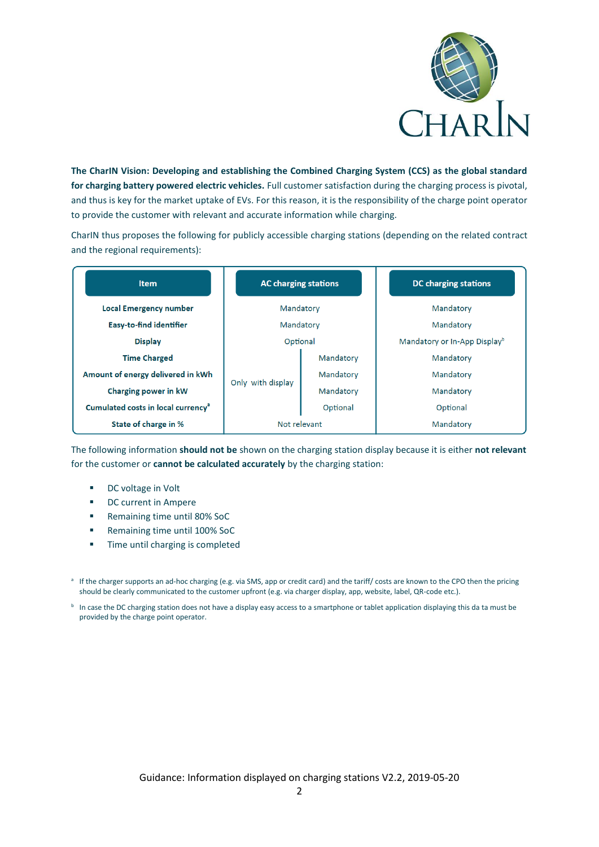

**The CharIN Vision: Developing and establishing the Combined Charging System (CCS) as the global standard for charging battery powered electric vehicles.** Full customer satisfaction during the charging process is pivotal, and thus is key for the market uptake of EVs. For this reason, it is the responsibility of the charge point operator to provide the customer with relevant and accurate information while charging.

CharIN thus proposes the following for publicly accessible charging stations (depending on the related contract and the regional requirements):

| <b>Item</b>                                    | <b>AC charging stations</b> |           | <b>DC</b> charging stations              |
|------------------------------------------------|-----------------------------|-----------|------------------------------------------|
| <b>Local Emergency number</b>                  | Mandatory                   |           | Mandatory                                |
| <b>Easy-to-find identifier</b>                 | Mandatory                   |           | Mandatory                                |
| <b>Display</b>                                 | Optional                    |           | Mandatory or In-App Display <sup>b</sup> |
| <b>Time Charged</b>                            | Only with display           | Mandatory | Mandatory                                |
| Amount of energy delivered in kWh              |                             | Mandatory | Mandatory                                |
| Charging power in kW                           |                             | Mandatory | Mandatory                                |
| Cumulated costs in local currency <sup>a</sup> |                             | Optional  | Optional                                 |
| State of charge in %                           | Not relevant                |           | Mandatory                                |

The following information **should not be** shown on the charging station display because it is either **not relevant** for the customer or **cannot be calculated accurately** by the charging station:

- DC voltage in Volt
- DC current in Ampere
- Remaining time until 80% SoC
- Remaining time until 100% SoC
- **■** Time until charging is completed

<sup>a</sup> If the charger supports an ad-hoc charging (e.g. via SMS, app or credit card) and the tariff/ costs are known to the CPO then the pricing should be clearly communicated to the customer upfront (e.g. via charger display, app, website, label, QR-code etc.).

**b** In case the DC charging station does not have a display easy access to a smartphone or tablet application displaying this da ta must be provided by the charge point operator.